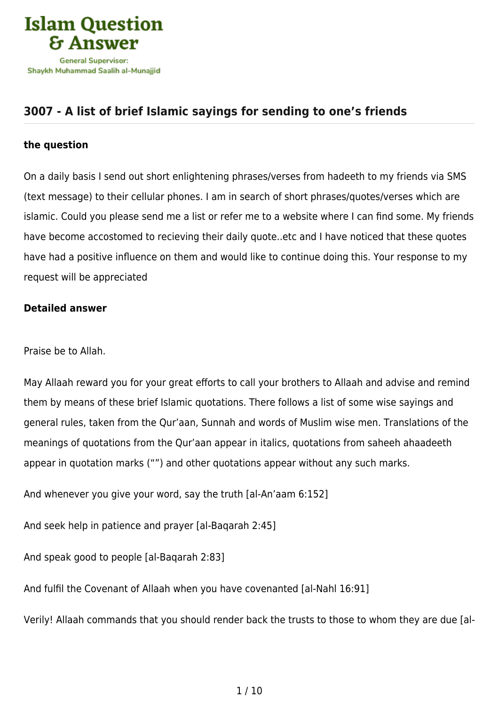

## **[3007 - A list of brief Islamic sayings for sending to one's friends](https://islamqa.info/en/answers/3007/a-list-of-brief-islamic-sayings-for-sending-to-ones-friends)**

## **the question**

On a daily basis I send out short enlightening phrases/verses from hadeeth to my friends via SMS (text message) to their cellular phones. I am in search of short phrases/quotes/verses which are islamic. Could you please send me a list or refer me to a website where I can find some. My friends have become accostomed to recieving their daily quote..etc and I have noticed that these quotes have had a positive influence on them and would like to continue doing this. Your response to my request will be appreciated

## **Detailed answer**

## Praise be to Allah.

May Allaah reward you for your great efforts to call your brothers to Allaah and advise and remind them by means of these brief Islamic quotations. There follows a list of some wise sayings and general rules, taken from the Qur'aan, Sunnah and words of Muslim wise men. Translations of the meanings of quotations from the Qur'aan appear in italics, quotations from saheeh ahaadeeth appear in quotation marks ("") and other quotations appear without any such marks.

And whenever you give your word, say the truth [al-An'aam 6:152]

And seek help in patience and prayer [al-Baqarah 2:45]

And speak good to people [al-Baqarah 2:83]

And fulfil the Covenant of Allaah when you have covenanted [al-Nahl 16:91]

Verily! Allaah commands that you should render back the trusts to those to whom they are due [al-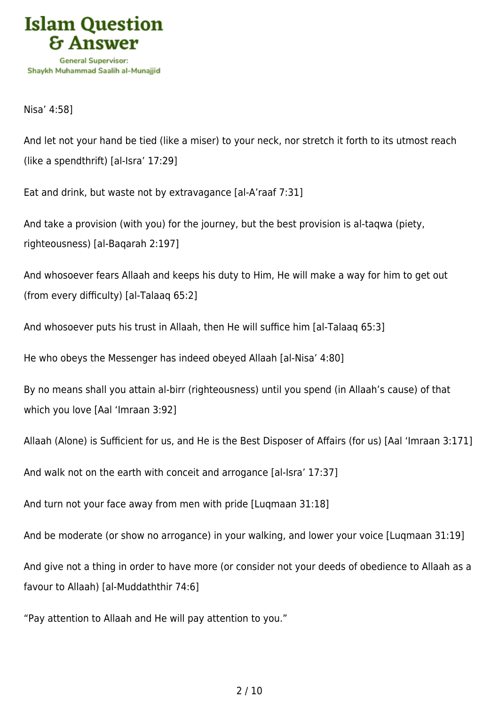

Nisa' 4:58]

And let not your hand be tied (like a miser) to your neck, nor stretch it forth to its utmost reach (like a spendthrift) [al-Isra' 17:29]

Eat and drink, but waste not by extravagance [al-A'raaf 7:31]

And take a provision (with you) for the journey, but the best provision is al-taqwa (piety, righteousness) [al-Baqarah 2:197]

And whosoever fears Allaah and keeps his duty to Him, He will make a way for him to get out (from every difficulty) [al-Talaaq 65:2]

And whosoever puts his trust in Allaah, then He will suffice him [al-Talaaq 65:3]

He who obeys the Messenger has indeed obeyed Allaah [al-Nisa' 4:80]

By no means shall you attain al-birr (righteousness) until you spend (in Allaah's cause) of that which you love [Aal 'Imraan 3:92]

Allaah (Alone) is Sufficient for us, and He is the Best Disposer of Affairs (for us) [Aal 'Imraan 3:171]

And walk not on the earth with conceit and arrogance [al-Isra' 17:37]

And turn not your face away from men with pride [Luqmaan 31:18]

And be moderate (or show no arrogance) in your walking, and lower your voice [Luqmaan 31:19]

And give not a thing in order to have more (or consider not your deeds of obedience to Allaah as a favour to Allaah) [al-Muddaththir 74:6]

"Pay attention to Allaah and He will pay attention to you."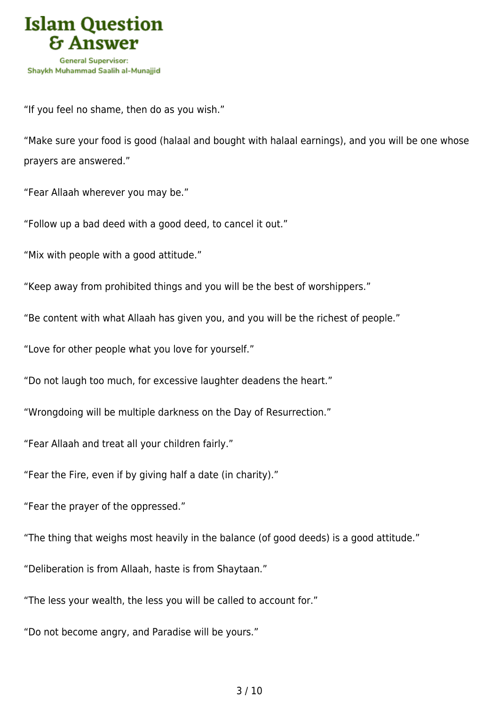

"If you feel no shame, then do as you wish."

"Make sure your food is good (halaal and bought with halaal earnings), and you will be one whose prayers are answered."

"Fear Allaah wherever you may be."

"Follow up a bad deed with a good deed, to cancel it out."

"Mix with people with a good attitude."

"Keep away from prohibited things and you will be the best of worshippers."

"Be content with what Allaah has given you, and you will be the richest of people."

"Love for other people what you love for yourself."

"Do not laugh too much, for excessive laughter deadens the heart."

"Wrongdoing will be multiple darkness on the Day of Resurrection."

"Fear Allaah and treat all your children fairly."

"Fear the Fire, even if by giving half a date (in charity)."

"Fear the prayer of the oppressed."

"The thing that weighs most heavily in the balance (of good deeds) is a good attitude."

"Deliberation is from Allaah, haste is from Shaytaan."

"The less your wealth, the less you will be called to account for."

"Do not become angry, and Paradise will be yours."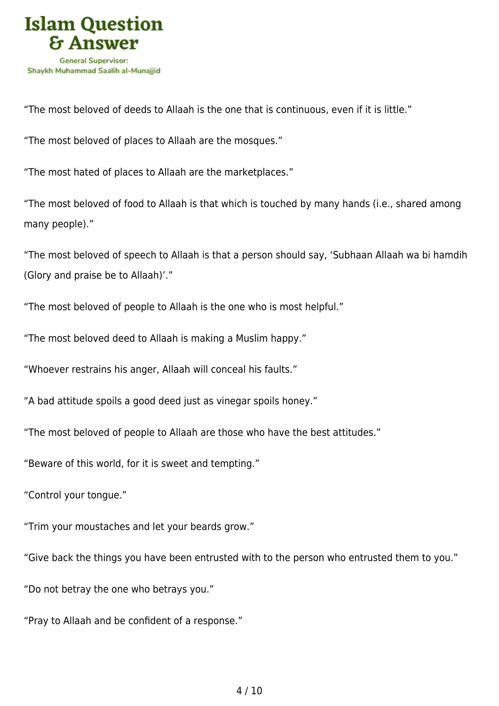

"The most beloved of deeds to Allaah is the one that is continuous, even if it is little."

"The most beloved of places to Allaah are the mosques."

"The most hated of places to Allaah are the marketplaces."

"The most beloved of food to Allaah is that which is touched by many hands (i.e., shared among many people)."

"The most beloved of speech to Allaah is that a person should say, 'Subhaan Allaah wa bi hamdih (Glory and praise be to Allaah)'."

"The most beloved of people to Allaah is the one who is most helpful."

"The most beloved deed to Allaah is making a Muslim happy."

"Whoever restrains his anger, Allaah will conceal his faults."

"A bad attitude spoils a good deed just as vinegar spoils honey."

"The most beloved of people to Allaah are those who have the best attitudes."

"Beware of this world, for it is sweet and tempting."

"Control your tongue."

"Trim your moustaches and let your beards grow."

"Give back the things you have been entrusted with to the person who entrusted them to you."

"Do not betray the one who betrays you."

"Pray to Allaah and be confident of a response."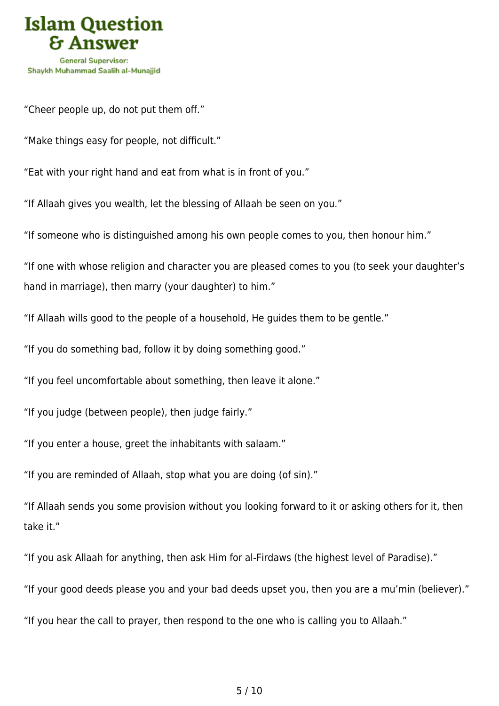

"Cheer people up, do not put them off."

"Make things easy for people, not difficult."

"Eat with your right hand and eat from what is in front of you."

"If Allaah gives you wealth, let the blessing of Allaah be seen on you."

"If someone who is distinguished among his own people comes to you, then honour him."

"If one with whose religion and character you are pleased comes to you (to seek your daughter's hand in marriage), then marry (your daughter) to him."

"If Allaah wills good to the people of a household, He guides them to be gentle."

"If you do something bad, follow it by doing something good."

"If you feel uncomfortable about something, then leave it alone."

"If you judge (between people), then judge fairly."

"If you enter a house, greet the inhabitants with salaam."

"If you are reminded of Allaah, stop what you are doing (of sin)."

"If Allaah sends you some provision without you looking forward to it or asking others for it, then take it."

"If you ask Allaah for anything, then ask Him for al-Firdaws (the highest level of Paradise)."

"If your good deeds please you and your bad deeds upset you, then you are a mu'min (believer)."

"If you hear the call to prayer, then respond to the one who is calling you to Allaah."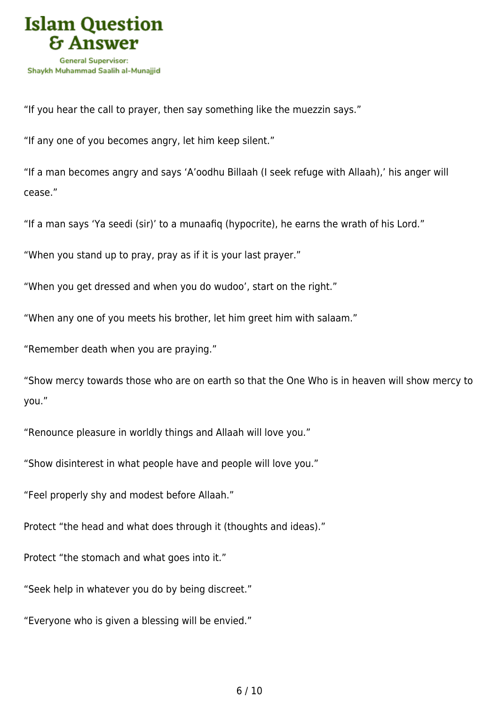

"If you hear the call to prayer, then say something like the muezzin says."

"If any one of you becomes angry, let him keep silent."

"If a man becomes angry and says 'A'oodhu Billaah (I seek refuge with Allaah),' his anger will cease."

"If a man says 'Ya seedi (sir)' to a munaafiq (hypocrite), he earns the wrath of his Lord."

"When you stand up to pray, pray as if it is your last prayer."

"When you get dressed and when you do wudoo', start on the right."

"When any one of you meets his brother, let him greet him with salaam."

"Remember death when you are praying."

"Show mercy towards those who are on earth so that the One Who is in heaven will show mercy to you."

"Renounce pleasure in worldly things and Allaah will love you."

"Show disinterest in what people have and people will love you."

"Feel properly shy and modest before Allaah."

Protect "the head and what does through it (thoughts and ideas)."

Protect "the stomach and what goes into it."

"Seek help in whatever you do by being discreet."

"Everyone who is given a blessing will be envied."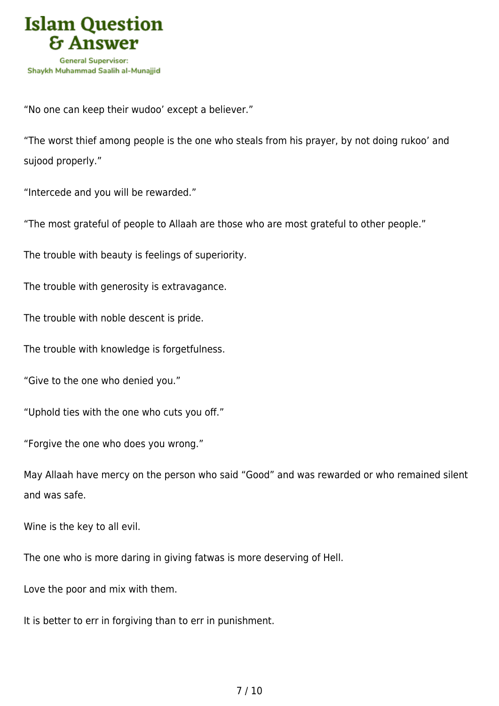

"No one can keep their wudoo' except a believer."

"The worst thief among people is the one who steals from his prayer, by not doing rukoo' and sujood properly."

"Intercede and you will be rewarded."

"The most grateful of people to Allaah are those who are most grateful to other people."

The trouble with beauty is feelings of superiority.

The trouble with generosity is extravagance.

The trouble with noble descent is pride.

The trouble with knowledge is forgetfulness.

"Give to the one who denied you."

"Uphold ties with the one who cuts you off."

"Forgive the one who does you wrong."

May Allaah have mercy on the person who said "Good" and was rewarded or who remained silent and was safe.

Wine is the key to all evil.

The one who is more daring in giving fatwas is more deserving of Hell.

Love the poor and mix with them.

It is better to err in forgiving than to err in punishment.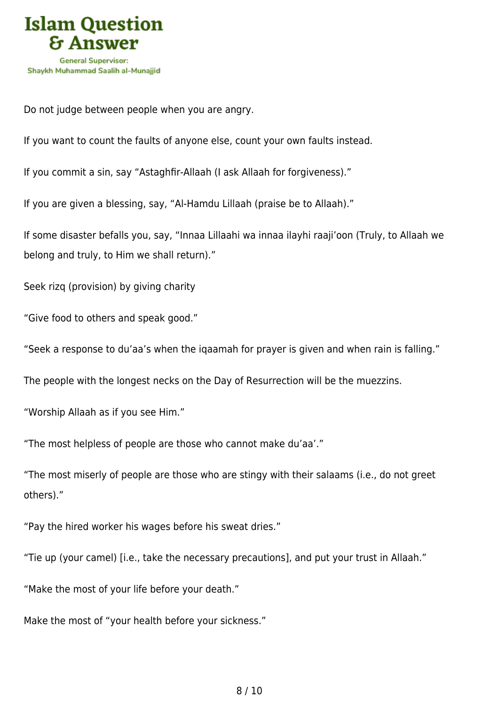

Do not judge between people when you are angry.

If you want to count the faults of anyone else, count your own faults instead.

If you commit a sin, say "Astaghfir-Allaah (I ask Allaah for forgiveness)."

If you are given a blessing, say, "Al-Hamdu Lillaah (praise be to Allaah)."

If some disaster befalls you, say, "Innaa Lillaahi wa innaa ilayhi raaji'oon (Truly, to Allaah we belong and truly, to Him we shall return)."

Seek rizq (provision) by giving charity

"Give food to others and speak good."

"Seek a response to du'aa's when the iqaamah for prayer is given and when rain is falling."

The people with the longest necks on the Day of Resurrection will be the muezzins.

"Worship Allaah as if you see Him."

"The most helpless of people are those who cannot make du'aa'."

"The most miserly of people are those who are stingy with their salaams (i.e., do not greet others)."

"Pay the hired worker his wages before his sweat dries."

"Tie up (your camel) [i.e., take the necessary precautions], and put your trust in Allaah."

"Make the most of your life before your death."

Make the most of "your health before your sickness."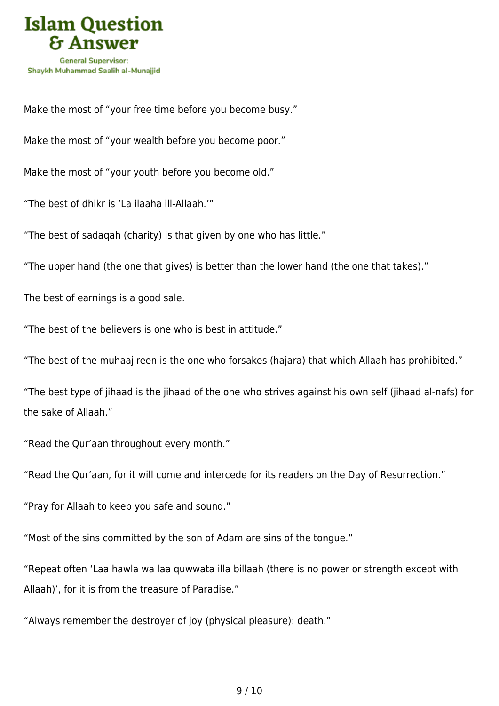

Make the most of "your free time before you become busy."

Make the most of "your wealth before you become poor."

Make the most of "your youth before you become old."

"The best of dhikr is 'La ilaaha ill-Allaah.'"

"The best of sadaqah (charity) is that given by one who has little."

"The upper hand (the one that gives) is better than the lower hand (the one that takes)."

The best of earnings is a good sale.

"The best of the believers is one who is best in attitude."

"The best of the muhaajireen is the one who forsakes (hajara) that which Allaah has prohibited."

"The best type of jihaad is the jihaad of the one who strives against his own self (jihaad al-nafs) for the sake of Allaah."

"Read the Qur'aan throughout every month."

"Read the Qur'aan, for it will come and intercede for its readers on the Day of Resurrection."

"Pray for Allaah to keep you safe and sound."

"Most of the sins committed by the son of Adam are sins of the tongue."

"Repeat often 'Laa hawla wa laa quwwata illa billaah (there is no power or strength except with Allaah)', for it is from the treasure of Paradise."

"Always remember the destroyer of joy (physical pleasure): death."